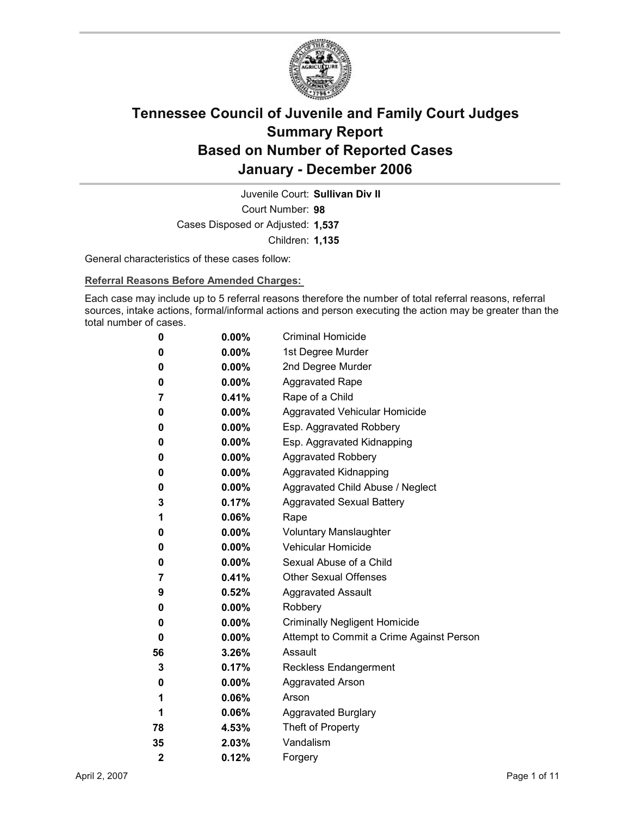

Court Number: **98** Juvenile Court: **Sullivan Div II** Cases Disposed or Adjusted: **1,537** Children: **1,135**

General characteristics of these cases follow:

**Referral Reasons Before Amended Charges:** 

Each case may include up to 5 referral reasons therefore the number of total referral reasons, referral sources, intake actions, formal/informal actions and person executing the action may be greater than the total number of cases.

| 0                       | $0.00\%$ | <b>Criminal Homicide</b>                 |
|-------------------------|----------|------------------------------------------|
| 0                       | $0.00\%$ | 1st Degree Murder                        |
| 0                       | $0.00\%$ | 2nd Degree Murder                        |
| 0                       | $0.00\%$ | <b>Aggravated Rape</b>                   |
| 7                       | 0.41%    | Rape of a Child                          |
| 0                       | $0.00\%$ | Aggravated Vehicular Homicide            |
| 0                       | $0.00\%$ | Esp. Aggravated Robbery                  |
| 0                       | $0.00\%$ | Esp. Aggravated Kidnapping               |
| 0                       | $0.00\%$ | <b>Aggravated Robbery</b>                |
| 0                       | $0.00\%$ | <b>Aggravated Kidnapping</b>             |
| 0                       | $0.00\%$ | Aggravated Child Abuse / Neglect         |
| 3                       | 0.17%    | <b>Aggravated Sexual Battery</b>         |
| 1                       | $0.06\%$ | Rape                                     |
| 0                       | $0.00\%$ | <b>Voluntary Manslaughter</b>            |
| 0                       | $0.00\%$ | <b>Vehicular Homicide</b>                |
| 0                       | $0.00\%$ | Sexual Abuse of a Child                  |
| 7                       | 0.41%    | <b>Other Sexual Offenses</b>             |
| 9                       | $0.52\%$ | <b>Aggravated Assault</b>                |
| 0                       | $0.00\%$ | Robbery                                  |
| 0                       | $0.00\%$ | <b>Criminally Negligent Homicide</b>     |
| 0                       | $0.00\%$ | Attempt to Commit a Crime Against Person |
| 56                      | 3.26%    | Assault                                  |
| 3                       | 0.17%    | <b>Reckless Endangerment</b>             |
| 0                       | $0.00\%$ | <b>Aggravated Arson</b>                  |
| 1                       | $0.06\%$ | Arson                                    |
| 1                       | 0.06%    | <b>Aggravated Burglary</b>               |
| 78                      | 4.53%    | Theft of Property                        |
| 35                      | $2.03\%$ | Vandalism                                |
| $\overline{\mathbf{2}}$ | 0.12%    | Forgery                                  |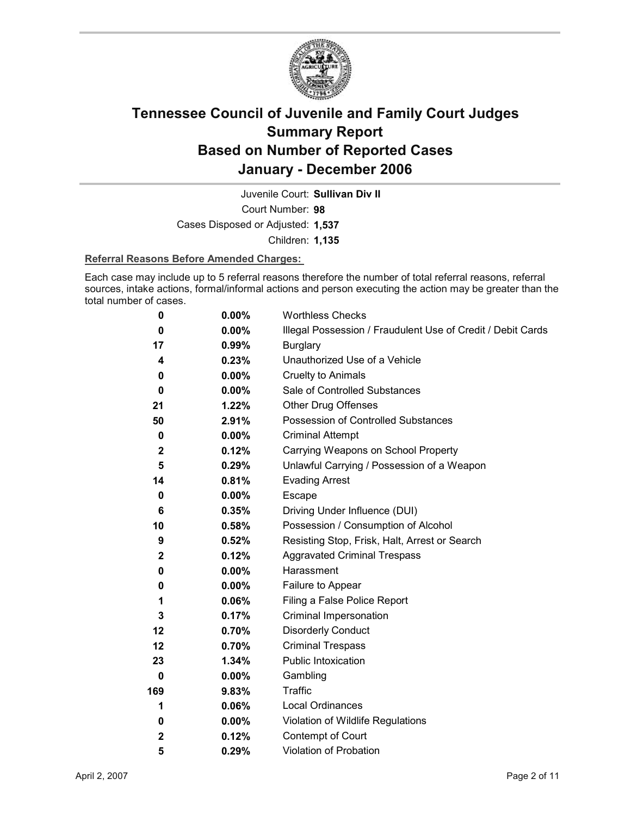

Juvenile Court: **Sullivan Div II**

Court Number: **98**

Cases Disposed or Adjusted: **1,537**

Children: **1,135**

### **Referral Reasons Before Amended Charges:**

Each case may include up to 5 referral reasons therefore the number of total referral reasons, referral sources, intake actions, formal/informal actions and person executing the action may be greater than the total number of cases.

| 0            | 0.00%    | <b>Worthless Checks</b>                                     |
|--------------|----------|-------------------------------------------------------------|
| 0            | 0.00%    | Illegal Possession / Fraudulent Use of Credit / Debit Cards |
| 17           | $0.99\%$ | <b>Burglary</b>                                             |
| 4            | 0.23%    | Unauthorized Use of a Vehicle                               |
| 0            | $0.00\%$ | <b>Cruelty to Animals</b>                                   |
| 0            | $0.00\%$ | Sale of Controlled Substances                               |
| 21           | 1.22%    | <b>Other Drug Offenses</b>                                  |
| 50           | 2.91%    | Possession of Controlled Substances                         |
| 0            | $0.00\%$ | <b>Criminal Attempt</b>                                     |
| $\mathbf{2}$ | 0.12%    | Carrying Weapons on School Property                         |
| 5            | 0.29%    | Unlawful Carrying / Possession of a Weapon                  |
| 14           | 0.81%    | <b>Evading Arrest</b>                                       |
| 0            | $0.00\%$ | Escape                                                      |
| 6            | 0.35%    | Driving Under Influence (DUI)                               |
| 10           | 0.58%    | Possession / Consumption of Alcohol                         |
| 9            | 0.52%    | Resisting Stop, Frisk, Halt, Arrest or Search               |
| $\mathbf{2}$ | 0.12%    | <b>Aggravated Criminal Trespass</b>                         |
| 0            | $0.00\%$ | Harassment                                                  |
| 0            | $0.00\%$ | Failure to Appear                                           |
| 1            | 0.06%    | Filing a False Police Report                                |
| $\mathbf{3}$ | 0.17%    | Criminal Impersonation                                      |
| 12           | 0.70%    | <b>Disorderly Conduct</b>                                   |
| 12           | 0.70%    | <b>Criminal Trespass</b>                                    |
| 23           | 1.34%    | Public Intoxication                                         |
| 0            | $0.00\%$ | Gambling                                                    |
| 169          | 9.83%    | <b>Traffic</b>                                              |
| 1            | 0.06%    | <b>Local Ordinances</b>                                     |
| 0            | $0.00\%$ | Violation of Wildlife Regulations                           |
| $\mathbf{2}$ | 0.12%    | Contempt of Court                                           |
| 5            | 0.29%    | Violation of Probation                                      |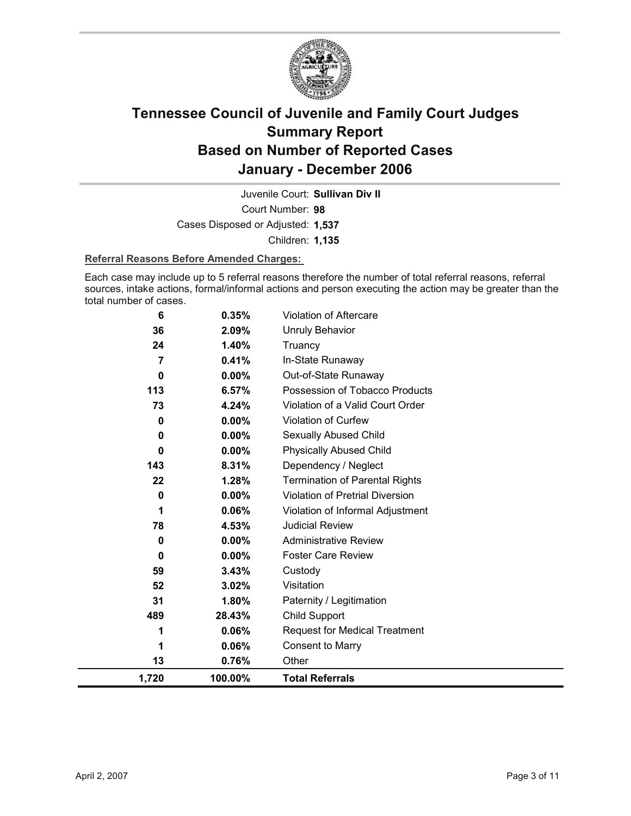

Court Number: **98** Juvenile Court: **Sullivan Div II** Cases Disposed or Adjusted: **1,537**

Children: **1,135**

### **Referral Reasons Before Amended Charges:**

Each case may include up to 5 referral reasons therefore the number of total referral reasons, referral sources, intake actions, formal/informal actions and person executing the action may be greater than the total number of cases.

| 6              | 0.35%    | Violation of Aftercare                 |
|----------------|----------|----------------------------------------|
| 36             | 2.09%    | <b>Unruly Behavior</b>                 |
| 24             | 1.40%    | Truancy                                |
| $\overline{7}$ | 0.41%    | In-State Runaway                       |
| 0              | $0.00\%$ | Out-of-State Runaway                   |
| 113            | 6.57%    | Possession of Tobacco Products         |
| 73             | 4.24%    | Violation of a Valid Court Order       |
| 0              | 0.00%    | Violation of Curfew                    |
| 0              | 0.00%    | Sexually Abused Child                  |
| $\bf{0}$       | $0.00\%$ | <b>Physically Abused Child</b>         |
| 143            | 8.31%    | Dependency / Neglect                   |
| 22             | 1.28%    | <b>Termination of Parental Rights</b>  |
| 0              | 0.00%    | <b>Violation of Pretrial Diversion</b> |
| 1              | 0.06%    | Violation of Informal Adjustment       |
| 78             | 4.53%    | <b>Judicial Review</b>                 |
| 0              | 0.00%    | <b>Administrative Review</b>           |
| 0              | $0.00\%$ | <b>Foster Care Review</b>              |
| 59             | 3.43%    | Custody                                |
| 52             | 3.02%    | Visitation                             |
| 31             | 1.80%    | Paternity / Legitimation               |
| 489            | 28.43%   | Child Support                          |
| 1              | 0.06%    | <b>Request for Medical Treatment</b>   |
|                | 0.06%    | <b>Consent to Marry</b>                |
| 13             | 0.76%    | Other                                  |
| 1,720          | 100.00%  | <b>Total Referrals</b>                 |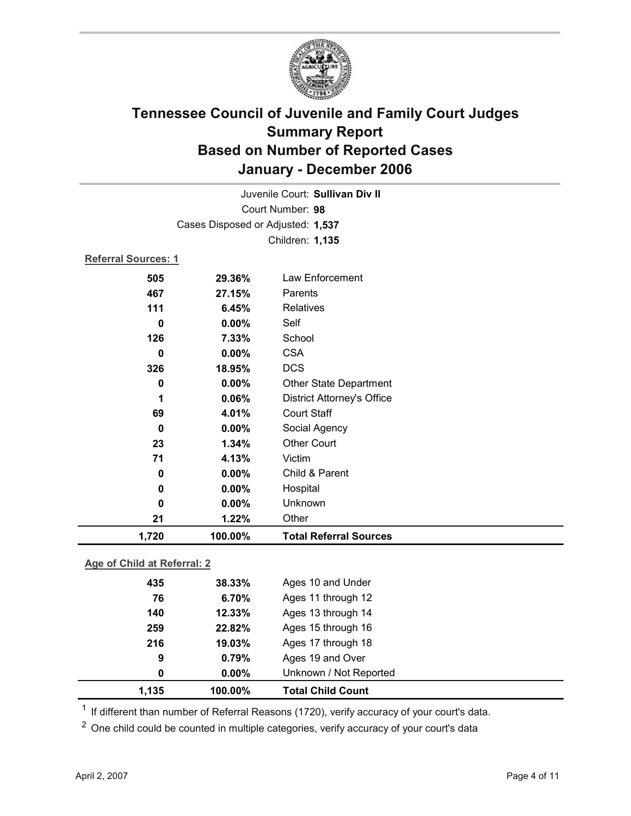

|                            |                                   | Juvenile Court: Sullivan Div II   |  |  |  |
|----------------------------|-----------------------------------|-----------------------------------|--|--|--|
|                            | Court Number: 98                  |                                   |  |  |  |
|                            | Cases Disposed or Adjusted: 1,537 |                                   |  |  |  |
|                            | Children: 1,135                   |                                   |  |  |  |
| <b>Referral Sources: 1</b> |                                   |                                   |  |  |  |
| 505                        | 29.36%                            | Law Enforcement                   |  |  |  |
| 467                        | 27.15%                            | Parents                           |  |  |  |
| 111                        | 6.45%                             | <b>Relatives</b>                  |  |  |  |
| $\bf{0}$                   | $0.00\%$                          | Self                              |  |  |  |
| 126                        | 7.33%                             | School                            |  |  |  |
| 0                          | 0.00%                             | <b>CSA</b>                        |  |  |  |
| 326                        | 18.95%                            | <b>DCS</b>                        |  |  |  |
| 0                          | $0.00\%$                          | <b>Other State Department</b>     |  |  |  |
| 1                          | 0.06%                             | <b>District Attorney's Office</b> |  |  |  |
| 69                         | 4.01%                             | <b>Court Staff</b>                |  |  |  |
| $\bf{0}$                   | 0.00%                             | Social Agency                     |  |  |  |
| 23                         | 1.34%                             | <b>Other Court</b>                |  |  |  |
| 71                         | 4.13%                             | Victim                            |  |  |  |
| 0                          | 0.00%                             | Child & Parent                    |  |  |  |
| 0                          | 0.00%                             | Hospital                          |  |  |  |
| 0                          | $0.00\%$                          | Unknown                           |  |  |  |
| 21                         | 1.22%                             | Other                             |  |  |  |
| 1,720                      | 100.00%                           | <b>Total Referral Sources</b>     |  |  |  |

### **Age of Child at Referral: 2**

| $0.00\%$ | Unknown / Not Reported |  |
|----------|------------------------|--|
| 0.79%    | Ages 19 and Over       |  |
| 19.03%   | Ages 17 through 18     |  |
| 22.82%   | Ages 15 through 16     |  |
| 12.33%   | Ages 13 through 14     |  |
| 6.70%    | Ages 11 through 12     |  |
| 38.33%   | Ages 10 and Under      |  |
|          |                        |  |

 $1$  If different than number of Referral Reasons (1720), verify accuracy of your court's data.

<sup>2</sup> One child could be counted in multiple categories, verify accuracy of your court's data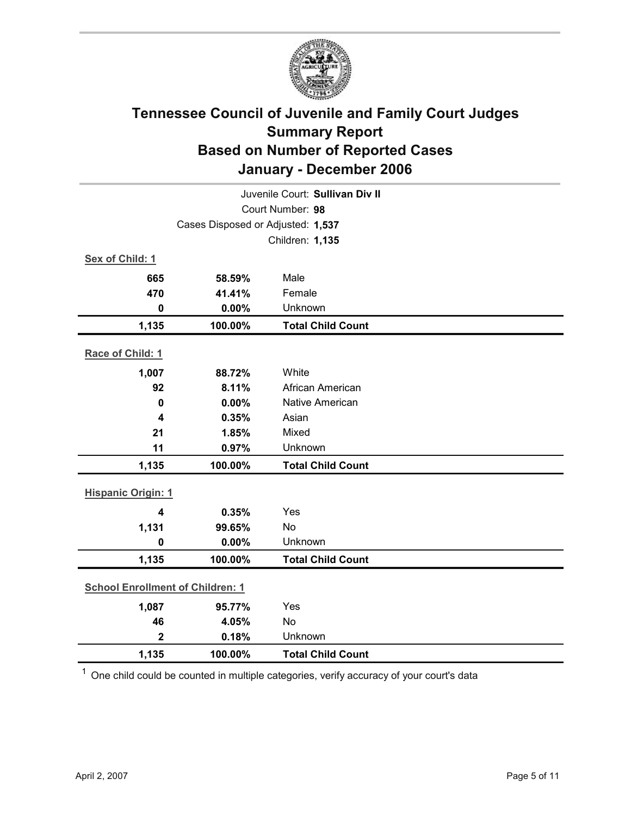

| Juvenile Court: Sullivan Div II         |                                   |                          |  |  |
|-----------------------------------------|-----------------------------------|--------------------------|--|--|
| Court Number: 98                        |                                   |                          |  |  |
|                                         | Cases Disposed or Adjusted: 1,537 |                          |  |  |
|                                         |                                   | Children: 1,135          |  |  |
| Sex of Child: 1                         |                                   |                          |  |  |
| 665                                     | 58.59%                            | Male                     |  |  |
| 470                                     | 41.41%                            | Female                   |  |  |
| $\mathbf 0$                             | 0.00%                             | Unknown                  |  |  |
| 1,135                                   | 100.00%                           | <b>Total Child Count</b> |  |  |
| Race of Child: 1                        |                                   |                          |  |  |
| 1,007                                   | 88.72%                            | White                    |  |  |
| 92                                      | 8.11%                             | African American         |  |  |
| $\mathbf 0$                             | 0.00%                             | <b>Native American</b>   |  |  |
| 4                                       | 0.35%                             | Asian                    |  |  |
| 21                                      | 1.85%                             | Mixed                    |  |  |
| 11                                      | 0.97%                             | Unknown                  |  |  |
| 1,135                                   | 100.00%                           | <b>Total Child Count</b> |  |  |
| <b>Hispanic Origin: 1</b>               |                                   |                          |  |  |
| $\overline{\mathbf{4}}$                 | 0.35%                             | Yes                      |  |  |
| 1,131                                   | 99.65%                            | No                       |  |  |
| $\mathbf 0$                             | 0.00%                             | Unknown                  |  |  |
| 1,135                                   | 100.00%                           | <b>Total Child Count</b> |  |  |
| <b>School Enrollment of Children: 1</b> |                                   |                          |  |  |
| 1,087                                   | 95.77%                            | Yes                      |  |  |
| 46                                      | 4.05%                             | No                       |  |  |
| $\overline{2}$                          | 0.18%                             | Unknown                  |  |  |
| 1,135                                   | 100.00%                           | <b>Total Child Count</b> |  |  |

 $1$  One child could be counted in multiple categories, verify accuracy of your court's data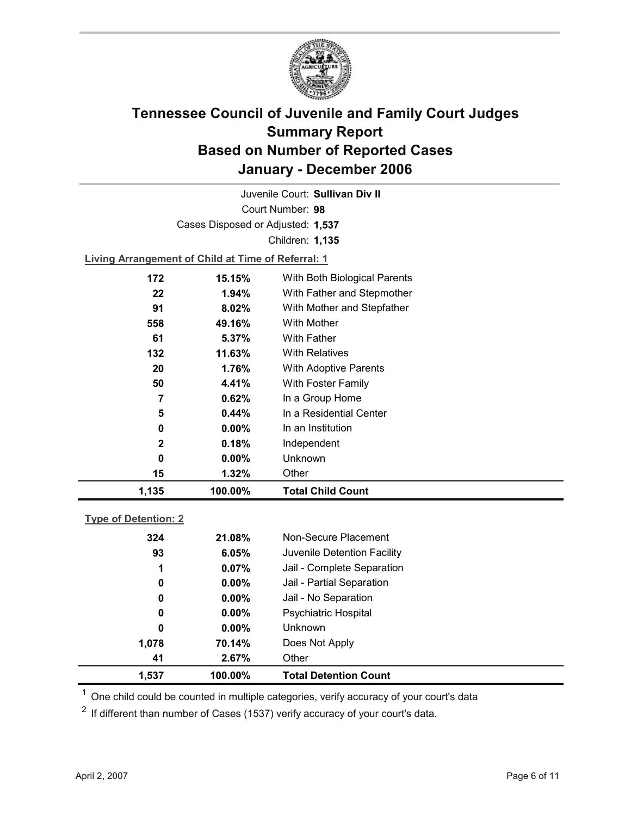

Court Number: **98** Juvenile Court: **Sullivan Div II** Cases Disposed or Adjusted: **1,537** Children: **1,135 Living Arrangement of Child at Time of Referral: 1**

| 1,135       | 100.00%  | <b>Total Child Count</b>     |
|-------------|----------|------------------------------|
| 15          | 1.32%    | Other                        |
| 0           | $0.00\%$ | Unknown                      |
| $\mathbf 2$ | 0.18%    | Independent                  |
| 0           | $0.00\%$ | In an Institution            |
| 5           | 0.44%    | In a Residential Center      |
| 7           | 0.62%    | In a Group Home              |
| 50          | 4.41%    | With Foster Family           |
| 20          | 1.76%    | <b>With Adoptive Parents</b> |
| 132         | 11.63%   | <b>With Relatives</b>        |
| 61          | 5.37%    | <b>With Father</b>           |
| 558         | 49.16%   | With Mother                  |
| 91          | 8.02%    | With Mother and Stepfather   |
| 22          | $1.94\%$ | With Father and Stepmother   |
| 172         | 15.15%   | With Both Biological Parents |
|             |          |                              |

### **Type of Detention: 2**

| 1,537 | 100.00%       | <b>Total Detention Count</b> |  |
|-------|---------------|------------------------------|--|
| 41    | 2.67%         | Other                        |  |
| 1,078 | 70.14%        | Does Not Apply               |  |
|       | 0<br>$0.00\%$ | <b>Unknown</b>               |  |
|       | $0.00\%$<br>0 | <b>Psychiatric Hospital</b>  |  |
|       | $0.00\%$<br>0 | Jail - No Separation         |  |
|       | 0<br>$0.00\%$ | Jail - Partial Separation    |  |
|       | 0.07%<br>1    | Jail - Complete Separation   |  |
| 93    | 6.05%         | Juvenile Detention Facility  |  |
| 324   | 21.08%        | Non-Secure Placement         |  |
|       |               |                              |  |

 $<sup>1</sup>$  One child could be counted in multiple categories, verify accuracy of your court's data</sup>

 $2$  If different than number of Cases (1537) verify accuracy of your court's data.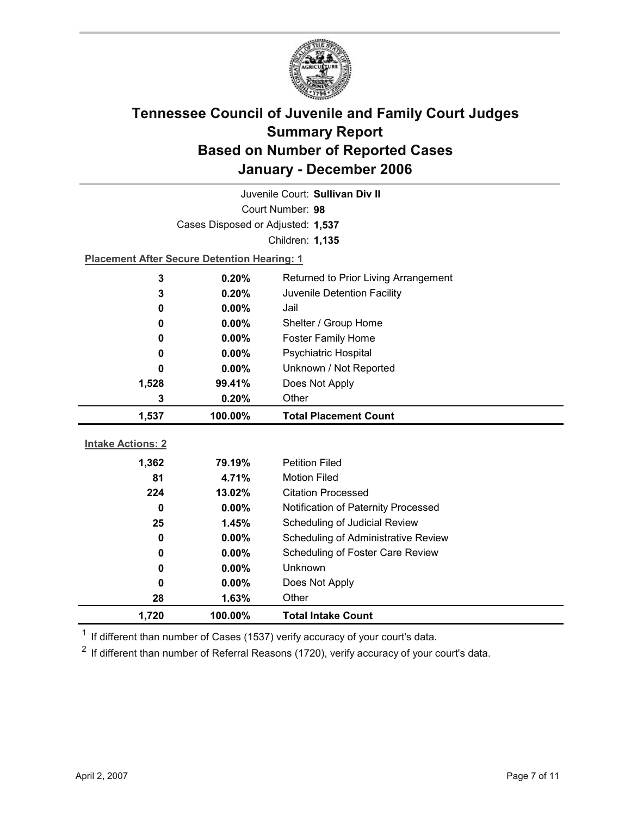

| Juvenile Court: Sullivan Div II |                                                    |                                      |  |  |
|---------------------------------|----------------------------------------------------|--------------------------------------|--|--|
| Court Number: 98                |                                                    |                                      |  |  |
|                                 | Cases Disposed or Adjusted: 1,537                  |                                      |  |  |
|                                 |                                                    | Children: 1,135                      |  |  |
|                                 | <b>Placement After Secure Detention Hearing: 1</b> |                                      |  |  |
| 3                               | 0.20%                                              | Returned to Prior Living Arrangement |  |  |
| 3                               | 0.20%                                              | Juvenile Detention Facility          |  |  |
| 0                               | $0.00\%$                                           | Jail                                 |  |  |
| 0                               | 0.00%                                              | Shelter / Group Home                 |  |  |
| 0                               | 0.00%                                              | Foster Family Home                   |  |  |
| 0                               | 0.00%                                              | <b>Psychiatric Hospital</b>          |  |  |
| 0                               | 0.00%                                              | Unknown / Not Reported               |  |  |
| 1,528                           | 99.41%                                             | Does Not Apply                       |  |  |
| 3                               | 0.20%                                              | Other                                |  |  |
|                                 |                                                    |                                      |  |  |
| 1,537                           | 100.00%                                            | <b>Total Placement Count</b>         |  |  |
|                                 |                                                    |                                      |  |  |
| <b>Intake Actions: 2</b>        |                                                    |                                      |  |  |
| 1,362                           | 79.19%                                             | <b>Petition Filed</b>                |  |  |
| 81                              | 4.71%                                              | <b>Motion Filed</b>                  |  |  |
| 224                             | 13.02%                                             | <b>Citation Processed</b>            |  |  |
| $\bf{0}$                        | $0.00\%$                                           | Notification of Paternity Processed  |  |  |
| 25                              | 1.45%                                              | Scheduling of Judicial Review        |  |  |
| 0                               | 0.00%                                              | Scheduling of Administrative Review  |  |  |
| 0                               | 0.00%                                              | Scheduling of Foster Care Review     |  |  |
| 0                               | 0.00%                                              | Unknown                              |  |  |
| 0                               | $0.00\%$                                           | Does Not Apply                       |  |  |
| 28<br>1,720                     | 1.63%<br>100.00%                                   | Other<br><b>Total Intake Count</b>   |  |  |

 $1$  If different than number of Cases (1537) verify accuracy of your court's data.

 $2$  If different than number of Referral Reasons (1720), verify accuracy of your court's data.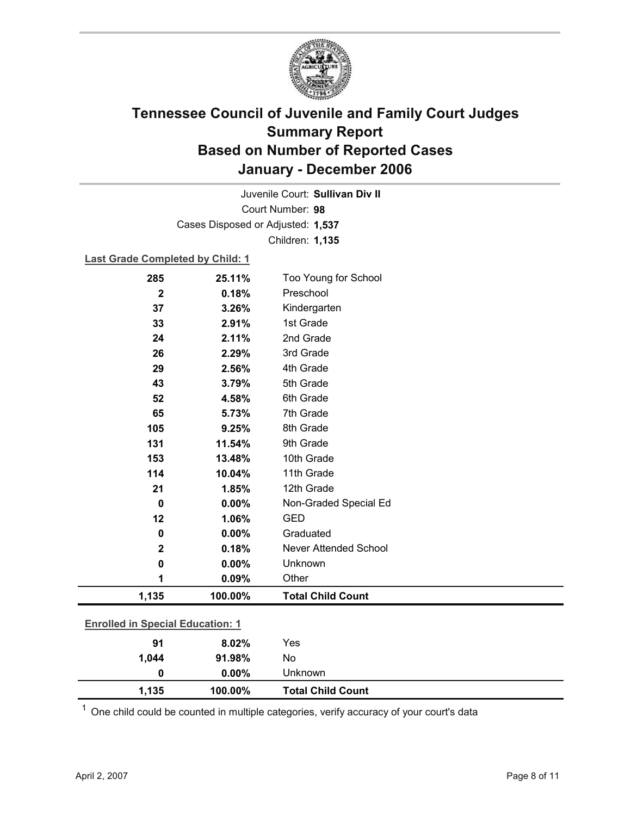

Court Number: **98** Juvenile Court: **Sullivan Div II** Cases Disposed or Adjusted: **1,537** Children: **1,135**

### **Last Grade Completed by Child: 1**

| 285                                     | 25.11%  | Too Young for School         |
|-----------------------------------------|---------|------------------------------|
| $\mathbf 2$                             | 0.18%   | Preschool                    |
| 37                                      | 3.26%   | Kindergarten                 |
| 33                                      | 2.91%   | 1st Grade                    |
| 24                                      | 2.11%   | 2nd Grade                    |
| 26                                      | 2.29%   | 3rd Grade                    |
| 29                                      | 2.56%   | 4th Grade                    |
| 43                                      | 3.79%   | 5th Grade                    |
| 52                                      | 4.58%   | 6th Grade                    |
| 65                                      | 5.73%   | 7th Grade                    |
| 105                                     | 9.25%   | 8th Grade                    |
| 131                                     | 11.54%  | 9th Grade                    |
| 153                                     | 13.48%  | 10th Grade                   |
| 114                                     | 10.04%  | 11th Grade                   |
| 21                                      | 1.85%   | 12th Grade                   |
| $\mathbf 0$                             | 0.00%   | Non-Graded Special Ed        |
| 12                                      | 1.06%   | <b>GED</b>                   |
| 0                                       | 0.00%   | Graduated                    |
| $\mathbf 2$                             | 0.18%   | <b>Never Attended School</b> |
| 0                                       | 0.00%   | Unknown                      |
| 1                                       | 0.09%   | Other                        |
| 1,135                                   | 100.00% | <b>Total Child Count</b>     |
| <b>Enrolled in Special Education: 1</b> |         |                              |
|                                         |         | Yes                          |
| 91                                      | 8.02%   | No                           |
| 1,044                                   | 91.98%  |                              |
| 0                                       | 0.00%   | Unknown                      |

 $1$  One child could be counted in multiple categories, verify accuracy of your court's data

**1,135 100.00% Total Child Count**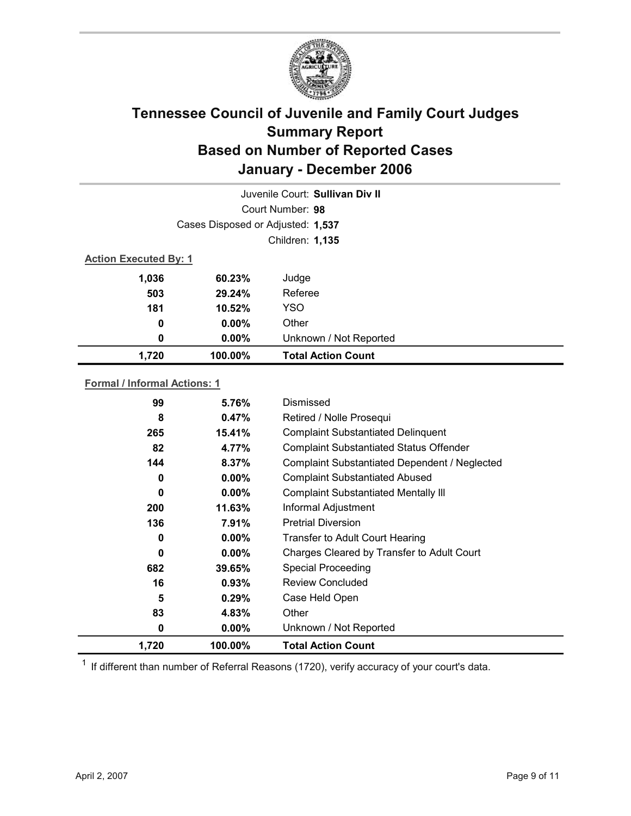

|                              |                                   | Juvenile Court: Sullivan Div II |  |  |
|------------------------------|-----------------------------------|---------------------------------|--|--|
|                              | Court Number: 98                  |                                 |  |  |
|                              | Cases Disposed or Adjusted: 1,537 |                                 |  |  |
|                              |                                   | Children: 1,135                 |  |  |
| <b>Action Executed By: 1</b> |                                   |                                 |  |  |
| 1,036                        | 60.23%                            | Judge                           |  |  |
| 503                          | 29.24%                            | Referee                         |  |  |
| 181                          | 10.52%                            | <b>YSO</b>                      |  |  |
| 0                            | $0.00\%$                          | Other                           |  |  |
| 0                            | $0.00\%$                          | Unknown / Not Reported          |  |  |
| 1,720                        | 100.00%                           | <b>Total Action Count</b>       |  |  |

### **Formal / Informal Actions: 1**

| 99       | 5.76%    | Dismissed                                      |
|----------|----------|------------------------------------------------|
| 8        | 0.47%    | Retired / Nolle Prosequi                       |
| 265      | 15.41%   | <b>Complaint Substantiated Delinquent</b>      |
| 82       | 4.77%    | <b>Complaint Substantiated Status Offender</b> |
| 144      | 8.37%    | Complaint Substantiated Dependent / Neglected  |
| 0        | $0.00\%$ | <b>Complaint Substantiated Abused</b>          |
| $\bf{0}$ | $0.00\%$ | <b>Complaint Substantiated Mentally III</b>    |
| 200      | 11.63%   | Informal Adjustment                            |
| 136      | 7.91%    | <b>Pretrial Diversion</b>                      |
| 0        | $0.00\%$ | <b>Transfer to Adult Court Hearing</b>         |
| $\bf{0}$ | $0.00\%$ | Charges Cleared by Transfer to Adult Court     |
| 682      | 39.65%   | <b>Special Proceeding</b>                      |
| 16       | $0.93\%$ | <b>Review Concluded</b>                        |
| 5        | 0.29%    | Case Held Open                                 |
| 83       | 4.83%    | Other                                          |
| 0        | $0.00\%$ | Unknown / Not Reported                         |
| 1,720    | 100.00%  | <b>Total Action Count</b>                      |

 $1$  If different than number of Referral Reasons (1720), verify accuracy of your court's data.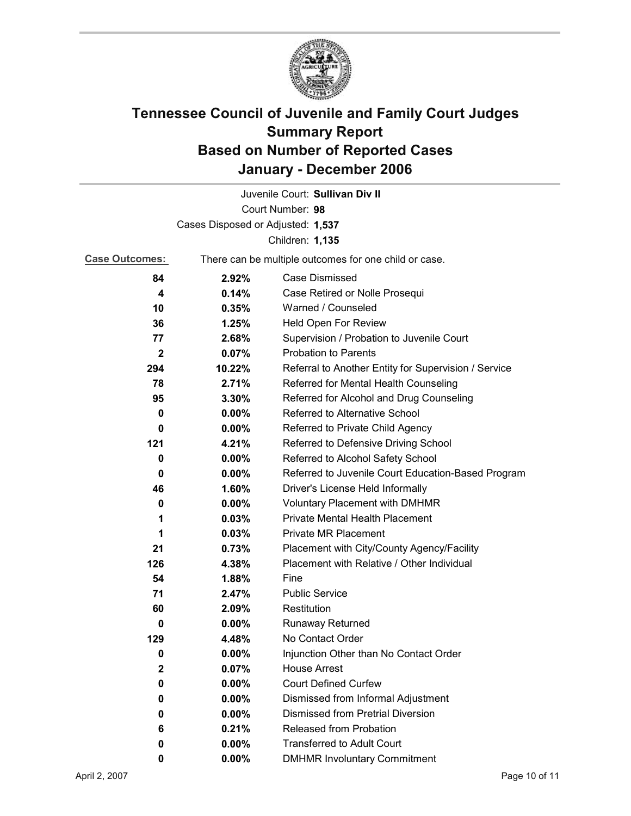

|                       |                                                       | Juvenile Court: Sullivan Div II                      |  |
|-----------------------|-------------------------------------------------------|------------------------------------------------------|--|
|                       |                                                       | Court Number: 98                                     |  |
|                       | Cases Disposed or Adjusted: 1,537                     |                                                      |  |
|                       |                                                       | Children: 1,135                                      |  |
| <b>Case Outcomes:</b> | There can be multiple outcomes for one child or case. |                                                      |  |
| 84                    | 2.92%                                                 | <b>Case Dismissed</b>                                |  |
| 4                     | 0.14%                                                 | Case Retired or Nolle Prosequi                       |  |
| 10                    | 0.35%                                                 | Warned / Counseled                                   |  |
| 36                    | 1.25%                                                 | <b>Held Open For Review</b>                          |  |
| 77                    | 2.68%                                                 | Supervision / Probation to Juvenile Court            |  |
| 2                     | 0.07%                                                 | <b>Probation to Parents</b>                          |  |
| 294                   | 10.22%                                                | Referral to Another Entity for Supervision / Service |  |
| 78                    | 2.71%                                                 | Referred for Mental Health Counseling                |  |
| 95                    | 3.30%                                                 | Referred for Alcohol and Drug Counseling             |  |
| 0                     | $0.00\%$                                              | Referred to Alternative School                       |  |
| 0                     | $0.00\%$                                              | Referred to Private Child Agency                     |  |
| 121                   | 4.21%                                                 | Referred to Defensive Driving School                 |  |
| 0                     | $0.00\%$                                              | Referred to Alcohol Safety School                    |  |
| 0                     | 0.00%                                                 | Referred to Juvenile Court Education-Based Program   |  |
| 46                    | 1.60%                                                 | Driver's License Held Informally                     |  |
| 0                     | $0.00\%$                                              | <b>Voluntary Placement with DMHMR</b>                |  |
| 1                     | 0.03%                                                 | Private Mental Health Placement                      |  |
| 1                     | 0.03%                                                 | <b>Private MR Placement</b>                          |  |
| 21                    | 0.73%                                                 | Placement with City/County Agency/Facility           |  |
| 126                   | 4.38%                                                 | Placement with Relative / Other Individual           |  |
| 54                    | 1.88%                                                 | Fine                                                 |  |
| 71                    | 2.47%                                                 | <b>Public Service</b>                                |  |
| 60                    | 2.09%                                                 | Restitution                                          |  |
| 0                     | $0.00\%$                                              | <b>Runaway Returned</b>                              |  |
| 129                   | 4.48%                                                 | No Contact Order                                     |  |
| 0                     | 0.00%                                                 | Injunction Other than No Contact Order               |  |
| 2                     | 0.07%                                                 | <b>House Arrest</b>                                  |  |
| 0                     | $0.00\%$                                              | <b>Court Defined Curfew</b>                          |  |
| 0                     | 0.00%                                                 | Dismissed from Informal Adjustment                   |  |
| 0                     | 0.00%                                                 | Dismissed from Pretrial Diversion                    |  |
| 6                     | 0.21%                                                 | Released from Probation                              |  |
| 0                     | 0.00%                                                 | <b>Transferred to Adult Court</b>                    |  |
| 0                     | 0.00%                                                 | <b>DMHMR Involuntary Commitment</b>                  |  |